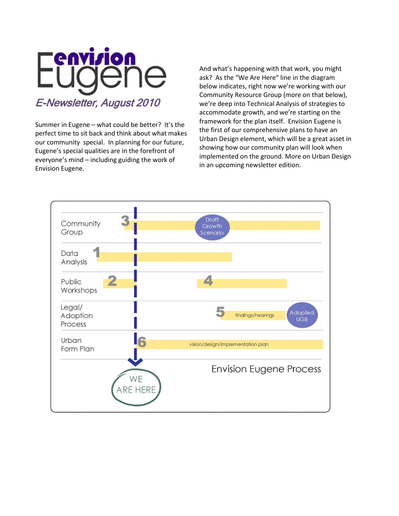

Summer in Eugene – what could be better? It's the perfect time to sit back and think about what makes our community special. In planning for our future, Eugene's special qualities are in the forefront of everyone's mind – including guiding the work of Envision Eugene.

And what's happening with that work, you might ask? As the "We Are Here" line in the diagram below indicates, right now we're working with our Community Resource Group (more on that below), we're deep into Technical Analysis of strategies to accommodate growth, and we're starting on the framework for the plan itself. Envision Eugene is the first of our comprehensive plans to have an Urban Design element, which will be a great asset in showing how our community plan will look when implemented on the ground. More on Urban Design in an upcoming newsletter edition.